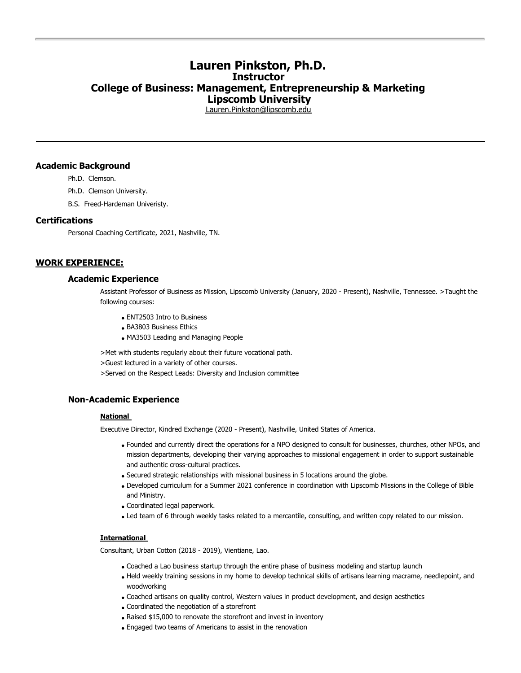# **Lauren Pinkston, Ph.D. Instructor College of Business: Management, Entrepreneurship & Marketing Lipscomb University**

[Lauren.Pinkston@lipscomb.edu](mailto:Lauren.Pinkston@lipscomb.edu)

## **Academic Background**

Ph.D. Clemson.

- Ph.D. Clemson University.
- B.S. Freed-Hardeman Univeristy.

# **Certifications**

Personal Coaching Certificate, 2021, Nashville, TN.

# **WORK EXPERIENCE:**

# **Academic Experience**

Assistant Professor of Business as Mission, Lipscomb University (January, 2020 - Present), Nashville, Tennessee. >Taught the following courses:

- ENT2503 Intro to Business
- BA3803 Business Ethics
- MA3503 Leading and Managing People

>Met with students regularly about their future vocational path.

>Guest lectured in a variety of other courses.

>Served on the Respect Leads: Diversity and Inclusion committee

# **Non-Academic Experience**

# **National**

Executive Director, Kindred Exchange (2020 - Present), Nashville, United States of America.

- Founded and currently direct the operations for a NPO designed to consult for businesses, churches, other NPOs, and mission departments, developing their varying approaches to missional engagement in order to support sustainable and authentic cross-cultural practices.
- Secured strategic relationships with missional business in 5 locations around the globe.
- Developed curriculum for a Summer 2021 conference in coordination with Lipscomb Missions in the College of Bible and Ministry.
- Coordinated legal paperwork.
- Led team of 6 through weekly tasks related to a mercantile, consulting, and written copy related to our mission.

#### **International**

Consultant, Urban Cotton (2018 - 2019), Vientiane, Lao.

- Coached a Lao business startup through the entire phase of business modeling and startup launch
- Held weekly training sessions in my home to develop technical skills of artisans learning macrame, needlepoint, and woodworking
- Coached artisans on quality control, Western values in product development, and design aesthetics
- Coordinated the negotiation of a storefront
- Raised \$15,000 to renovate the storefront and invest in inventory
- Engaged two teams of Americans to assist in the renovation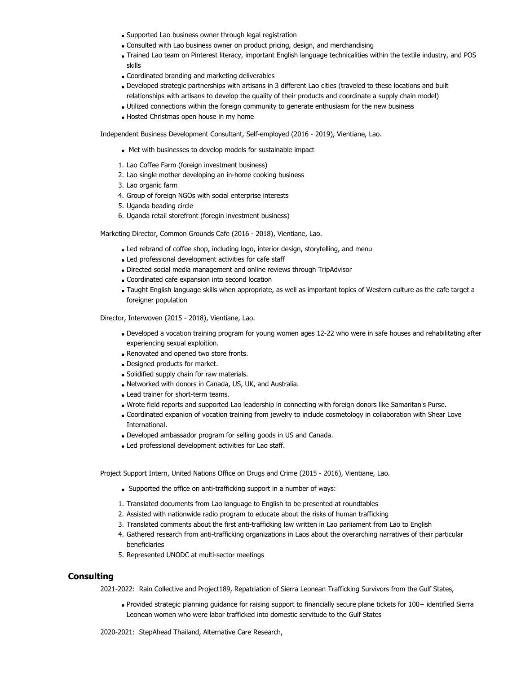- Supported Lao business owner through legal registration
- Consulted with Lao business owner on product pricing, design, and merchandising
- Trained Lao team on Pinterest literacy, important English language technicalities within the textile industry, and POS skills
- Coordinated branding and marketing deliverables
- Developed strategic partnerships with artisans in 3 different Lao cities (traveled to these locations and built relationships with artisans to develop the quality of their products and coordinate a supply chain model)
- Utilized connections within the foreign community to generate enthusiasm for the new business
- Hosted Christmas open house in my home

Independent Business Development Consultant, Self-employed (2016 - 2019), Vientiane, Lao.

- Met with businesses to develop models for sustainable impact
- 1. Lao Coffee Farm (foreign investment business)
- 2. Lao single mother developing an in-home cooking business
- 3. Lao organic farm
- 4. Group of foreign NGOs with social enterprise interests
- 5. Uganda beading circle
- 6. Uganda retail storefront (foregin investment business)

Marketing Director, Common Grounds Cafe (2016 - 2018), Vientiane, Lao.

- Led rebrand of coffee shop, including logo, interior design, storytelling, and menu
- Led professional development activities for cafe staff
- Directed social media management and online reviews through TripAdvisor
- Coordinated cafe expansion into second location
- Taught English language skills when appropriate, as well as important topics of Western culture as the cafe target a foreigner population

Director, Interwoven (2015 - 2018), Vientiane, Lao.

- Developed a vocation training program for young women ages 12-22 who were in safe houses and rehabilitating after experiencing sexual exploition.
- Renovated and opened two store fronts.
- Designed products for market.
- Solidified supply chain for raw materials.
- Networked with donors in Canada, US, UK, and Australia.
- Lead trainer for short-term teams.
- Wrote field reports and supported Lao leadership in connecting with foreign donors like Samaritan's Purse.
- Coordinated expanion of vocation training from jewelry to include cosmetology in collaboration with Shear Love International.
- Developed ambassador program for selling goods in US and Canada.
- Led professional development activities for Lao staff.

Project Support Intern, United Nations Office on Drugs and Crime (2015 - 2016), Vientiane, Lao.

- Supported the office on anti-trafficking support in a number of ways:
- 1. Translated documents from Lao language to English to be presented at roundtables
- 2. Assisted with nationwide radio program to educate about the risks of human trafficking
- 3. Translated comments about the first anti-trafficking law written in Lao parliament from Lao to English
- 4. Gathered research from anti-trafficking organizations in Laos about the overarching narratives of their particular beneficiaries
- 5. Represented UNODC at multi-sector meetings

# **Consulting**

2021-2022: Rain Collective and Project189, Repatriation of Sierra Leonean Trafficking Survivors from the Gulf States,

Provided strategic planning guidance for raising support to financially secure plane tickets for 100+ identified Sierra Leonean women who were labor trafficked into domestic servitude to the Gulf States

2020-2021: StepAhead Thailand, Alternative Care Research,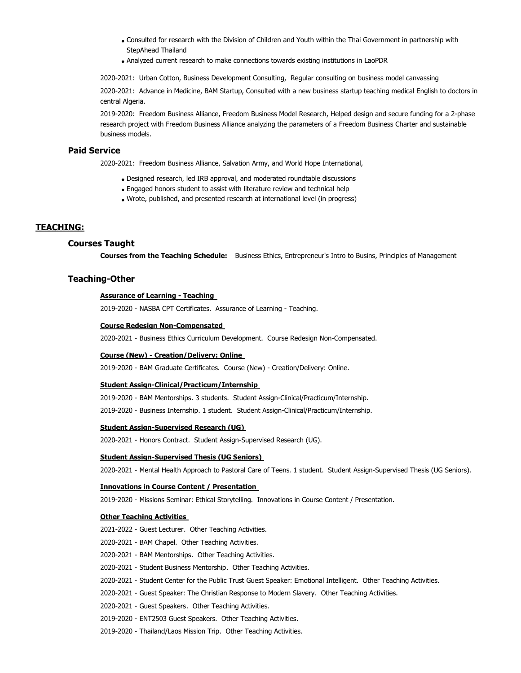- Consulted for research with the Division of Children and Youth within the Thai Government in partnership with StepAhead Thailand
- Analyzed current research to make connections towards existing institutions in LaoPDR

2020-2021: Urban Cotton, Business Development Consulting, Regular consulting on business model canvassing

2020-2021: Advance in Medicine, BAM Startup, Consulted with a new business startup teaching medical English to doctors in central Algeria.

2019-2020: Freedom Business Alliance, Freedom Business Model Research, Helped design and secure funding for a 2-phase research project with Freedom Business Alliance analyzing the parameters of a Freedom Business Charter and sustainable business models.

# **Paid Service**

2020-2021: Freedom Business Alliance, Salvation Army, and World Hope International,

- Designed research, led IRB approval, and moderated roundtable discussions
- Engaged honors student to assist with literature review and technical help
- Wrote, published, and presented research at international level (in progress)

## **TEACHING:**

# **Courses Taught**

**Courses from the Teaching Schedule:** Business Ethics, Entrepreneur's Intro to Busins, Principles of Management

# **Teaching-Other**

### **Assurance of Learning - Teaching**

2019-2020 - NASBA CPT Certificates. Assurance of Learning - Teaching.

### **Course Redesign Non-Compensated**

2020-2021 - Business Ethics Curriculum Development. Course Redesign Non-Compensated.

## **Course (New) - Creation/Delivery: Online**

2019-2020 - BAM Graduate Certificates. Course (New) - Creation/Delivery: Online.

#### **Student Assign-Clinical/Practicum/Internship**

2019-2020 - BAM Mentorships. 3 students. Student Assign-Clinical/Practicum/Internship.

2019-2020 - Business Internship. 1 student. Student Assign-Clinical/Practicum/Internship.

#### **Student Assign-Supervised Research (UG)**

2020-2021 - Honors Contract. Student Assign-Supervised Research (UG).

#### **Student Assign-Supervised Thesis (UG Seniors)**

2020-2021 - Mental Health Approach to Pastoral Care of Teens. 1 student. Student Assign-Supervised Thesis (UG Seniors).

#### **Innovations in Course Content / Presentation**

2019-2020 - Missions Seminar: Ethical Storytelling. Innovations in Course Content / Presentation.

#### **Other Teaching Activities**

2021-2022 - Guest Lecturer. Other Teaching Activities.

- 2020-2021 BAM Chapel. Other Teaching Activities.
- 2020-2021 BAM Mentorships. Other Teaching Activities.
- 2020-2021 Student Business Mentorship. Other Teaching Activities.

2020-2021 - Student Center for the Public Trust Guest Speaker: Emotional Intelligent. Other Teaching Activities.

2020-2021 - Guest Speaker: The Christian Response to Modern Slavery. Other Teaching Activities.

2020-2021 - Guest Speakers. Other Teaching Activities.

2019-2020 - ENT2503 Guest Speakers. Other Teaching Activities.

2019-2020 - Thailand/Laos Mission Trip. Other Teaching Activities.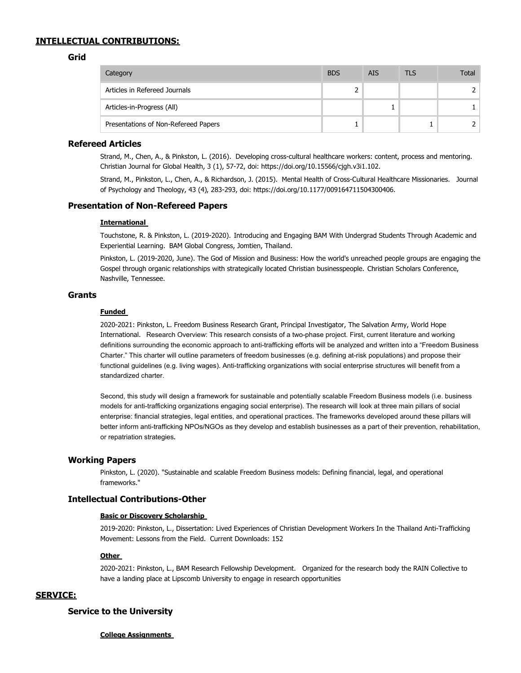# **INTELLECTUAL CONTRIBUTIONS:**

## **Grid**

| Category                             | <b>BDS</b> | <b>AIS</b> | TLS | Total |
|--------------------------------------|------------|------------|-----|-------|
| Articles in Refereed Journals        |            |            |     |       |
| Articles-in-Progress (All)           |            |            |     |       |
| Presentations of Non-Refereed Papers |            |            |     |       |

# **Refereed Articles**

Strand, M., Chen, A., & Pinkston, L. (2016). Developing cross-cultural healthcare workers: content, process and mentoring. Christian Journal for Global Health, 3 (1), 57-72, doi: https://doi.org/10.15566/cjgh.v3i1.102.

Strand, M., Pinkston, L., Chen, A., & Richardson, J. (2015). Mental Health of Cross-Cultural Healthcare Missionaries. Journal of Psychology and Theology, 43 (4), 283-293, doi: https://doi.org/10.1177/009164711504300406.

# **Presentation of Non-Refereed Papers**

#### **International**

Touchstone, R. & Pinkston, L. (2019-2020). Introducing and Engaging BAM With Undergrad Students Through Academic and Experiential Learning. BAM Global Congress, Jomtien, Thailand.

Pinkston, L. (2019-2020, June). The God of Mission and Business: How the world's unreached people groups are engaging the Gospel through organic relationships with strategically located Christian businesspeople. Christian Scholars Conference, Nashville, Tennessee.

# **Grants**

### **Funded**

2020-2021: Pinkston, L. Freedom Business Research Grant, Principal Investigator, The Salvation Army, World Hope International. Research Overview: This research consists of a two-phase project. First, current literature and working definitions surrounding the economic approach to anti-trafficking efforts will be analyzed and written into a "Freedom Business Charter." This charter will outline parameters of freedom businesses (e.g. defining at-risk populations) and propose their functional guidelines (e.g. living wages). Anti-trafficking organizations with social enterprise structures will benefit from a standardized charter.

Second, this study will design a framework for sustainable and potentially scalable Freedom Business models (i.e. business models for anti-trafficking organizations engaging social enterprise). The research will look at three main pillars of social enterprise: financial strategies, legal entities, and operational practices. The frameworks developed around these pillars will better inform anti-trafficking NPOs/NGOs as they develop and establish businesses as a part of their prevention, rehabilitation, or repatriation strategies..

### **Working Papers**

Pinkston, L. (2020). "Sustainable and scalable Freedom Business models: Defining financial, legal, and operational frameworks."

# **Intellectual Contributions-Other**

### **Basic or Discovery Scholarship**

2019-2020: Pinkston, L., Dissertation: Lived Experiences of Christian Development Workers In the Thailand Anti-Trafficking Movement: Lessons from the Field. Current Downloads: 152

## **Other**

2020-2021: Pinkston, L., BAM Research Fellowship Development. Organized for the research body the RAIN Collective to have a landing place at Lipscomb University to engage in research opportunities

# **SERVICE:**

# **Service to the University**

### **College Assignments**